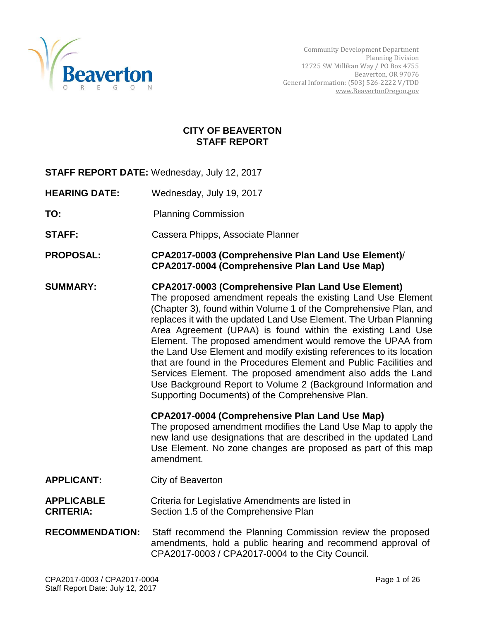

### **CITY OF BEAVERTON STAFF REPORT**

**STAFF REPORT DATE:** Wednesday, July 12, 2017

- **HEARING DATE:** Wednesday, July 19, 2017
- **TO:** Planning Commission
- **STAFF:** Cassera Phipps, Associate Planner
- **PROPOSAL: CPA2017-0003 (Comprehensive Plan Land Use Element)**/  **CPA2017-0004 (Comprehensive Plan Land Use Map)**
- **SUMMARY: CPA2017-0003 (Comprehensive Plan Land Use Element)**

The proposed amendment repeals the existing Land Use Element (Chapter 3), found within Volume 1 of the Comprehensive Plan, and replaces it with the updated Land Use Element. The Urban Planning Area Agreement (UPAA) is found within the existing Land Use Element. The proposed amendment would remove the UPAA from the Land Use Element and modify existing references to its location that are found in the Procedures Element and Public Facilities and Services Element. The proposed amendment also adds the Land Use Background Report to Volume 2 (Background Information and Supporting Documents) of the Comprehensive Plan.

#### **CPA2017-0004 (Comprehensive Plan Land Use Map)**

The proposed amendment modifies the Land Use Map to apply the new land use designations that are described in the updated Land Use Element. No zone changes are proposed as part of this map amendment.

**APPLICANT:** City of Beaverton

### **APPLICABLE** Criteria for Legislative Amendments are listed in **CRITERIA:** Section 1.5 of the Comprehensive Plan

**RECOMMENDATION:** Staff recommend the Planning Commission review the proposed amendments, hold a public hearing and recommend approval of CPA2017-0003 / CPA2017-0004 to the City Council.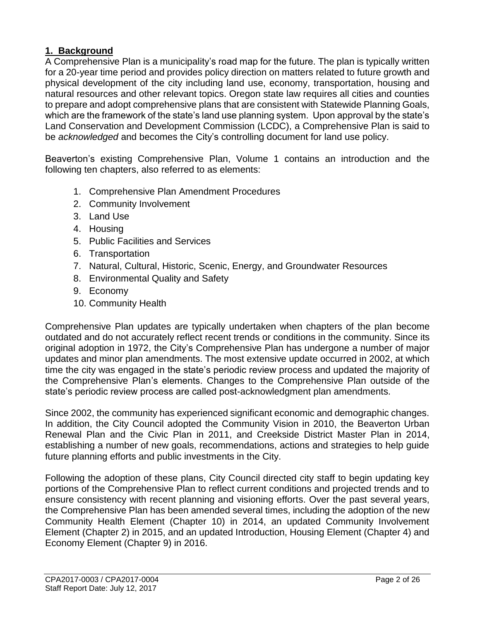## **1. Background**

A Comprehensive Plan is a municipality's road map for the future. The plan is typically written for a 20-year time period and provides policy direction on matters related to future growth and physical development of the city including land use, economy, transportation, housing and natural resources and other relevant topics. Oregon state law requires all cities and counties to prepare and adopt comprehensive plans that are consistent with Statewide Planning Goals, which are the framework of the state's land use planning system. Upon approval by the state's Land Conservation and Development Commission (LCDC), a Comprehensive Plan is said to be *acknowledged* and becomes the City's controlling document for land use policy.

Beaverton's existing Comprehensive Plan, Volume 1 contains an introduction and the following ten chapters, also referred to as elements:

- 1. Comprehensive Plan Amendment Procedures
- 2. Community Involvement
- 3. Land Use
- 4. Housing
- 5. Public Facilities and Services
- 6. Transportation
- 7. Natural, Cultural, Historic, Scenic, Energy, and Groundwater Resources
- 8. Environmental Quality and Safety
- 9. Economy
- 10. Community Health

Comprehensive Plan updates are typically undertaken when chapters of the plan become outdated and do not accurately reflect recent trends or conditions in the community. Since its original adoption in 1972, the City's Comprehensive Plan has undergone a number of major updates and minor plan amendments. The most extensive update occurred in 2002, at which time the city was engaged in the state's periodic review process and updated the majority of the Comprehensive Plan's elements. Changes to the Comprehensive Plan outside of the state's periodic review process are called post-acknowledgment plan amendments.

Since 2002, the community has experienced significant economic and demographic changes. In addition, the City Council adopted the Community Vision in 2010, the Beaverton Urban Renewal Plan and the Civic Plan in 2011, and Creekside District Master Plan in 2014, establishing a number of new goals, recommendations, actions and strategies to help guide future planning efforts and public investments in the City.

Following the adoption of these plans, City Council directed city staff to begin updating key portions of the Comprehensive Plan to reflect current conditions and projected trends and to ensure consistency with recent planning and visioning efforts. Over the past several years, the Comprehensive Plan has been amended several times, including the adoption of the new Community Health Element (Chapter 10) in 2014, an updated Community Involvement Element (Chapter 2) in 2015, and an updated Introduction, Housing Element (Chapter 4) and Economy Element (Chapter 9) in 2016.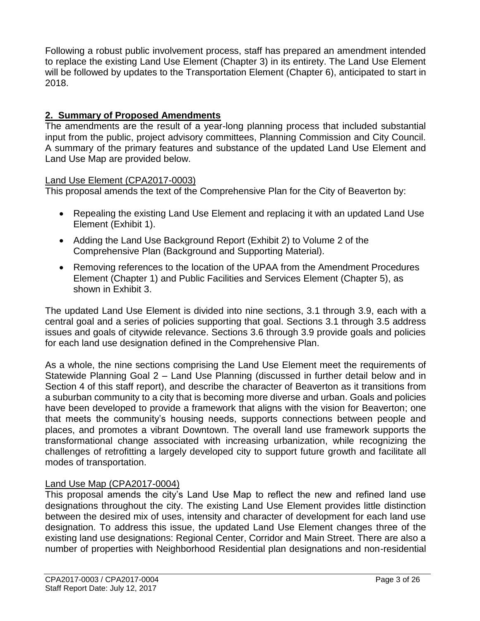Following a robust public involvement process, staff has prepared an amendment intended to replace the existing Land Use Element (Chapter 3) in its entirety. The Land Use Element will be followed by updates to the Transportation Element (Chapter 6), anticipated to start in 2018.

## **2. Summary of Proposed Amendments**

The amendments are the result of a year-long planning process that included substantial input from the public, project advisory committees, Planning Commission and City Council. A summary of the primary features and substance of the updated Land Use Element and Land Use Map are provided below.

### Land Use Element (CPA2017-0003)

This proposal amends the text of the Comprehensive Plan for the City of Beaverton by:

- Repealing the existing Land Use Element and replacing it with an updated Land Use Element (Exhibit 1).
- Adding the Land Use Background Report (Exhibit 2) to Volume 2 of the Comprehensive Plan (Background and Supporting Material).
- Removing references to the location of the UPAA from the Amendment Procedures Element (Chapter 1) and Public Facilities and Services Element (Chapter 5), as shown in Exhibit 3.

The updated Land Use Element is divided into nine sections, 3.1 through 3.9, each with a central goal and a series of policies supporting that goal. Sections 3.1 through 3.5 address issues and goals of citywide relevance. Sections 3.6 through 3.9 provide goals and policies for each land use designation defined in the Comprehensive Plan.

As a whole, the nine sections comprising the Land Use Element meet the requirements of Statewide Planning Goal 2 – Land Use Planning (discussed in further detail below and in Section 4 of this staff report), and describe the character of Beaverton as it transitions from a suburban community to a city that is becoming more diverse and urban. Goals and policies have been developed to provide a framework that aligns with the vision for Beaverton; one that meets the community's housing needs, supports connections between people and places, and promotes a vibrant Downtown. The overall land use framework supports the transformational change associated with increasing urbanization, while recognizing the challenges of retrofitting a largely developed city to support future growth and facilitate all modes of transportation.

#### Land Use Map (CPA2017-0004)

This proposal amends the city's Land Use Map to reflect the new and refined land use designations throughout the city. The existing Land Use Element provides little distinction between the desired mix of uses, intensity and character of development for each land use designation. To address this issue, the updated Land Use Element changes three of the existing land use designations: Regional Center, Corridor and Main Street. There are also a number of properties with Neighborhood Residential plan designations and non-residential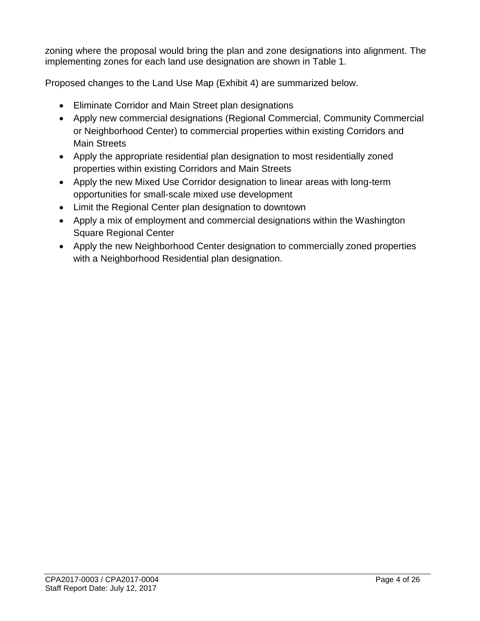zoning where the proposal would bring the plan and zone designations into alignment. The implementing zones for each land use designation are shown in Table 1.

Proposed changes to the Land Use Map (Exhibit 4) are summarized below.

- Eliminate Corridor and Main Street plan designations
- Apply new commercial designations (Regional Commercial, Community Commercial or Neighborhood Center) to commercial properties within existing Corridors and Main Streets
- Apply the appropriate residential plan designation to most residentially zoned properties within existing Corridors and Main Streets
- Apply the new Mixed Use Corridor designation to linear areas with long-term opportunities for small-scale mixed use development
- Limit the Regional Center plan designation to downtown
- Apply a mix of employment and commercial designations within the Washington Square Regional Center
- Apply the new Neighborhood Center designation to commercially zoned properties with a Neighborhood Residential plan designation.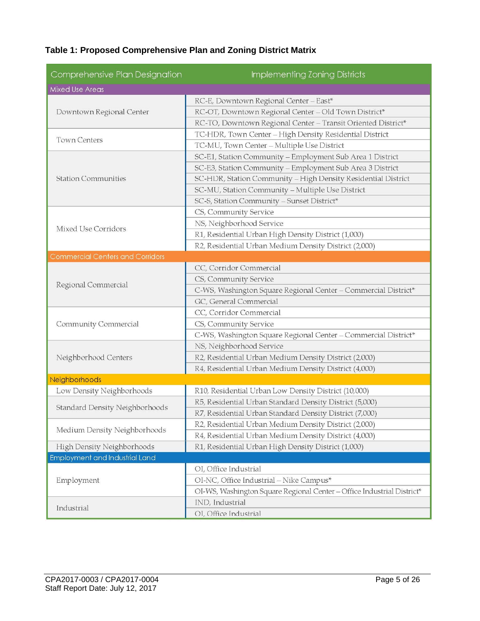# **Table 1: Proposed Comprehensive Plan and Zoning District Matrix**

| Comprehensive Plan Designation          | <b>Implementing Zoning Districts</b>                                   |  |  |
|-----------------------------------------|------------------------------------------------------------------------|--|--|
| <b>Mixed Use Areas</b>                  |                                                                        |  |  |
|                                         | RC-E, Downtown Regional Center - East*                                 |  |  |
| Downtown Regional Center                | RC-OT, Downtown Regional Center - Old Town District*                   |  |  |
|                                         | RC-TO, Downtown Regional Center - Transit Oriented District*           |  |  |
|                                         | TC-HDR, Town Center - High Density Residential District                |  |  |
| <b>Town Centers</b>                     | TC-MU, Town Center - Multiple Use District                             |  |  |
|                                         | SC-E1, Station Community - Employment Sub Area 1 District              |  |  |
| <b>Station Communities</b>              | SC-E3, Station Community - Employment Sub Area 3 District              |  |  |
|                                         | SC-HDR, Station Community - High Density Residential District          |  |  |
|                                         | SC-MU, Station Community - Multiple Use District                       |  |  |
|                                         | SC-S, Station Community - Sunset District*                             |  |  |
|                                         | CS, Community Service                                                  |  |  |
| Mixed Use Corridors                     | NS, Neighborhood Service                                               |  |  |
|                                         | R1, Residential Urban High Density District (1,000)                    |  |  |
|                                         | R2, Residential Urban Medium Density District (2,000)                  |  |  |
| <b>Commercial Centers and Corridors</b> |                                                                        |  |  |
|                                         | CC, Corridor Commercial                                                |  |  |
|                                         | CS, Community Service                                                  |  |  |
| Regional Commercial                     | C-WS, Washington Square Regional Center - Commercial District*         |  |  |
|                                         | GC, General Commercial                                                 |  |  |
|                                         | CC, Corridor Commercial                                                |  |  |
| Community Commercial                    | CS, Community Service                                                  |  |  |
|                                         | C-WS, Washington Square Regional Center - Commercial District*         |  |  |
|                                         | NS, Neighborhood Service                                               |  |  |
| Neighborhood Centers                    | R2, Residential Urban Medium Density District (2,000)                  |  |  |
|                                         | R4, Residential Urban Medium Density District (4,000)                  |  |  |
| Neighborhoods                           |                                                                        |  |  |
| Low Density Neighborhoods               | R10, Residential Urban Low Density District (10,000)                   |  |  |
| <b>Standard Density Neighborhoods</b>   | R5, Residential Urban Standard Density District (5,000)                |  |  |
|                                         | R7, Residential Urban Standard Density District (7,000)                |  |  |
| Medium Density Neighborhoods            | R2, Residential Urban Medium Density District (2,000)                  |  |  |
|                                         | R4, Residential Urban Medium Density District (4,000)                  |  |  |
| High Density Neighborhoods              | R1, Residential Urban High Density District (1,000)                    |  |  |
| Employment and Industrial Land          |                                                                        |  |  |
|                                         | OI, Office Industrial                                                  |  |  |
| Employment                              | OI-NC, Office Industrial - Nike Campus*                                |  |  |
|                                         | OI-WS, Washington Square Regional Center - Office Industrial District* |  |  |
|                                         | IND, Industrial                                                        |  |  |
| Industrial                              | OI, Office Industrial                                                  |  |  |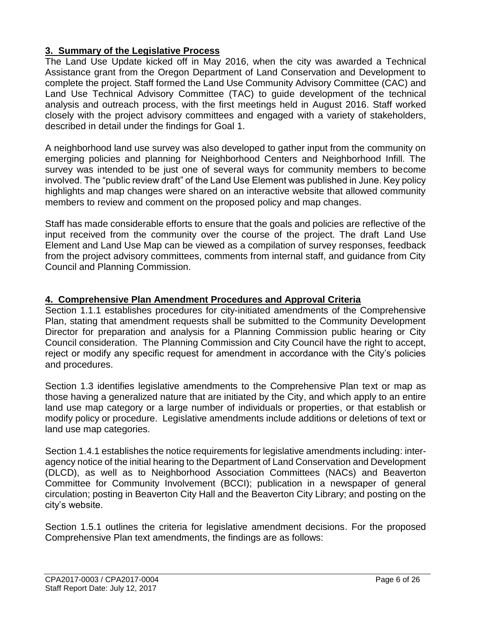### **3. Summary of the Legislative Process**

The Land Use Update kicked off in May 2016, when the city was awarded a Technical Assistance grant from the Oregon Department of Land Conservation and Development to complete the project. Staff formed the Land Use Community Advisory Committee (CAC) and Land Use Technical Advisory Committee (TAC) to guide development of the technical analysis and outreach process, with the first meetings held in August 2016. Staff worked closely with the project advisory committees and engaged with a variety of stakeholders, described in detail under the findings for Goal 1.

A neighborhood land use survey was also developed to gather input from the community on emerging policies and planning for Neighborhood Centers and Neighborhood Infill. The survey was intended to be just one of several ways for community members to become involved. The "public review draft" of the Land Use Element was published in June. Key policy highlights and map changes were shared on an interactive website that allowed community members to review and comment on the proposed policy and map changes.

Staff has made considerable efforts to ensure that the goals and policies are reflective of the input received from the community over the course of the project. The draft Land Use Element and Land Use Map can be viewed as a compilation of survey responses, feedback from the project advisory committees, comments from internal staff, and guidance from City Council and Planning Commission.

## **4. Comprehensive Plan Amendment Procedures and Approval Criteria**

Section 1.1.1 establishes procedures for city-initiated amendments of the Comprehensive Plan, stating that amendment requests shall be submitted to the Community Development Director for preparation and analysis for a Planning Commission public hearing or City Council consideration. The Planning Commission and City Council have the right to accept, reject or modify any specific request for amendment in accordance with the City's policies and procedures.

Section 1.3 identifies legislative amendments to the Comprehensive Plan text or map as those having a generalized nature that are initiated by the City, and which apply to an entire land use map category or a large number of individuals or properties, or that establish or modify policy or procedure. Legislative amendments include additions or deletions of text or land use map categories.

Section 1.4.1 establishes the notice requirements for legislative amendments including: interagency notice of the initial hearing to the Department of Land Conservation and Development (DLCD), as well as to Neighborhood Association Committees (NACs) and Beaverton Committee for Community Involvement (BCCI); publication in a newspaper of general circulation; posting in Beaverton City Hall and the Beaverton City Library; and posting on the city's website.

Section 1.5.1 outlines the criteria for legislative amendment decisions. For the proposed Comprehensive Plan text amendments, the findings are as follows: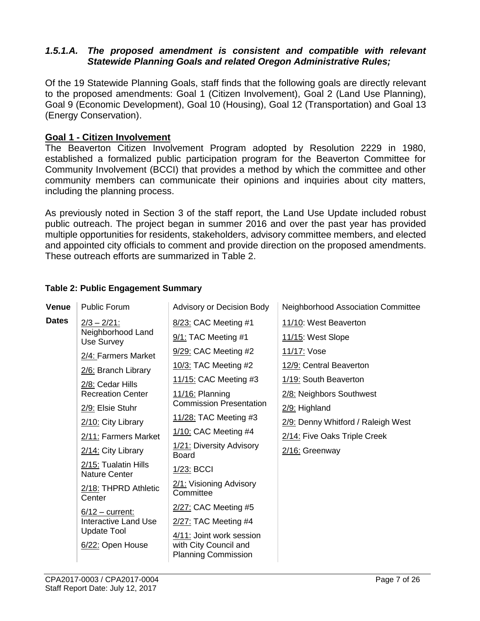#### *1.5.1.A. The proposed amendment is consistent and compatible with relevant Statewide Planning Goals and related Oregon Administrative Rules;*

Of the 19 Statewide Planning Goals, staff finds that the following goals are directly relevant to the proposed amendments: Goal 1 (Citizen Involvement), Goal 2 (Land Use Planning), Goal 9 (Economic Development), Goal 10 (Housing), Goal 12 (Transportation) and Goal 13 (Energy Conservation).

#### **Goal 1 - Citizen Involvement**

The Beaverton Citizen Involvement Program adopted by Resolution 2229 in 1980, established a formalized public participation program for the Beaverton Committee for Community Involvement (BCCI) that provides a method by which the committee and other community members can communicate their opinions and inquiries about city matters, including the planning process.

As previously noted in Section 3 of the staff report, the Land Use Update included robust public outreach. The project began in summer 2016 and over the past year has provided multiple opportunities for residents, stakeholders, advisory committee members, and elected and appointed city officials to comment and provide direction on the proposed amendments. These outreach efforts are summarized in Table 2.

| <b>Venue</b>     | <b>Public Forum</b>                   | Advisory or Decision Body                         | Neighborhood Association Committee |
|------------------|---------------------------------------|---------------------------------------------------|------------------------------------|
| <b>Dates</b>     | $\frac{2}{3} - \frac{2}{21}$          | 8/23: CAC Meeting #1                              | 11/10: West Beaverton              |
|                  | Neighborhood Land<br>Use Survey       | $9/1$ : TAC Meeting #1                            | 11/15: West Slope                  |
|                  | 2/4: Farmers Market                   | 9/29: CAC Meeting #2                              | 11/17: Vose                        |
|                  | 2/6: Branch Library                   | 10/3: TAC Meeting #2                              | 12/9: Central Beaverton            |
|                  | 2/8: Cedar Hills                      | 11/15: CAC Meeting #3                             | 1/19: South Beaverton              |
|                  | <b>Recreation Center</b>              | 11/16: Planning                                   | 2/8: Neighbors Southwest           |
| 2/9: Elsie Stuhr | <b>Commission Presentation</b>        | 2/9: Highland                                     |                                    |
|                  | 2/10: City Library                    | 11/28: TAC Meeting #3                             | 2/9: Denny Whitford / Raleigh West |
|                  | 2/11: Farmers Market                  | $1/10$ : CAC Meeting #4                           | 2/14: Five Oaks Triple Creek       |
|                  | 2/14: City Library                    | 1/21: Diversity Advisory<br>Board                 | 2/16: Greenway                     |
|                  | 2/15: Tualatin Hills<br>Nature Center | 1/23: BCCI                                        |                                    |
|                  | 2/18: THPRD Athletic<br>Center        | 2/1: Visioning Advisory<br>Committee              |                                    |
|                  | $6/12$ – current:                     | 2/27: CAC Meeting #5                              |                                    |
|                  | <b>Interactive Land Use</b>           | 2/27: TAC Meeting #4                              |                                    |
|                  | Update Tool<br>6/22: Open House       | 4/11: Joint work session<br>with City Council and |                                    |
|                  |                                       | <b>Planning Commission</b>                        |                                    |

#### **Table 2: Public Engagement Summary**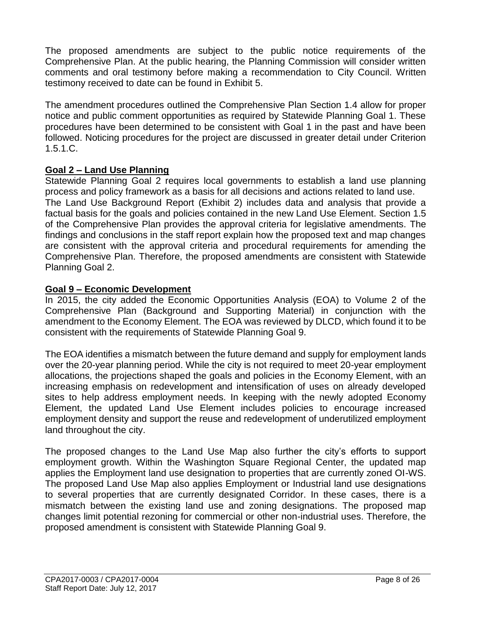The proposed amendments are subject to the public notice requirements of the Comprehensive Plan. At the public hearing, the Planning Commission will consider written comments and oral testimony before making a recommendation to City Council. Written testimony received to date can be found in Exhibit 5.

The amendment procedures outlined the Comprehensive Plan Section 1.4 allow for proper notice and public comment opportunities as required by Statewide Planning Goal 1. These procedures have been determined to be consistent with Goal 1 in the past and have been followed. Noticing procedures for the project are discussed in greater detail under Criterion 1.5.1.C.

### **Goal 2 – Land Use Planning**

Statewide Planning Goal 2 requires local governments to establish a land use planning process and policy framework as a basis for all decisions and actions related to land use. The Land Use Background Report (Exhibit 2) includes data and analysis that provide a factual basis for the goals and policies contained in the new Land Use Element. Section 1.5 of the Comprehensive Plan provides the approval criteria for legislative amendments. The findings and conclusions in the staff report explain how the proposed text and map changes are consistent with the approval criteria and procedural requirements for amending the Comprehensive Plan. Therefore, the proposed amendments are consistent with Statewide Planning Goal 2.

### **Goal 9 – Economic Development**

In 2015, the city added the Economic Opportunities Analysis (EOA) to Volume 2 of the Comprehensive Plan (Background and Supporting Material) in conjunction with the amendment to the Economy Element. The EOA was reviewed by DLCD, which found it to be consistent with the requirements of Statewide Planning Goal 9.

The EOA identifies a mismatch between the future demand and supply for employment lands over the 20-year planning period. While the city is not required to meet 20-year employment allocations, the projections shaped the goals and policies in the Economy Element, with an increasing emphasis on redevelopment and intensification of uses on already developed sites to help address employment needs. In keeping with the newly adopted Economy Element, the updated Land Use Element includes policies to encourage increased employment density and support the reuse and redevelopment of underutilized employment land throughout the city.

The proposed changes to the Land Use Map also further the city's efforts to support employment growth. Within the Washington Square Regional Center, the updated map applies the Employment land use designation to properties that are currently zoned OI-WS. The proposed Land Use Map also applies Employment or Industrial land use designations to several properties that are currently designated Corridor. In these cases, there is a mismatch between the existing land use and zoning designations. The proposed map changes limit potential rezoning for commercial or other non-industrial uses. Therefore, the proposed amendment is consistent with Statewide Planning Goal 9.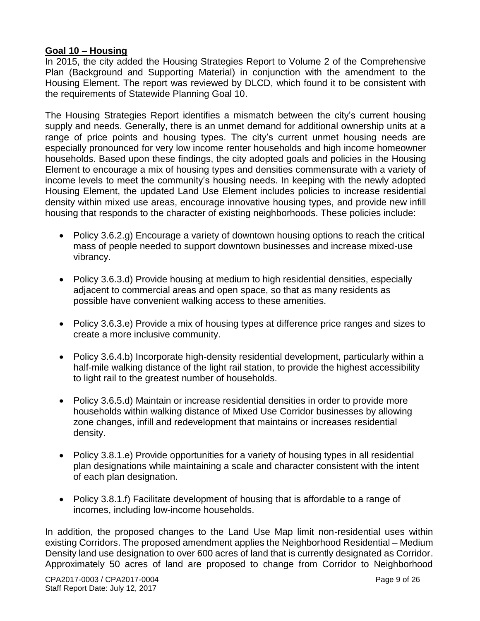#### **Goal 10 – Housing**

In 2015, the city added the Housing Strategies Report to Volume 2 of the Comprehensive Plan (Background and Supporting Material) in conjunction with the amendment to the Housing Element. The report was reviewed by DLCD, which found it to be consistent with the requirements of Statewide Planning Goal 10.

The Housing Strategies Report identifies a mismatch between the city's current housing supply and needs. Generally, there is an unmet demand for additional ownership units at a range of price points and housing types. The city's current unmet housing needs are especially pronounced for very low income renter households and high income homeowner households. Based upon these findings, the city adopted goals and policies in the Housing Element to encourage a mix of housing types and densities commensurate with a variety of income levels to meet the community's housing needs. In keeping with the newly adopted Housing Element, the updated Land Use Element includes policies to increase residential density within mixed use areas, encourage innovative housing types, and provide new infill housing that responds to the character of existing neighborhoods. These policies include:

- Policy 3.6.2.g) Encourage a variety of downtown housing options to reach the critical mass of people needed to support downtown businesses and increase mixed-use vibrancy.
- Policy 3.6.3.d) Provide housing at medium to high residential densities, especially adjacent to commercial areas and open space, so that as many residents as possible have convenient walking access to these amenities.
- Policy 3.6.3.e) Provide a mix of housing types at difference price ranges and sizes to create a more inclusive community.
- Policy 3.6.4.b) Incorporate high-density residential development, particularly within a half-mile walking distance of the light rail station, to provide the highest accessibility to light rail to the greatest number of households.
- Policy 3.6.5.d) Maintain or increase residential densities in order to provide more households within walking distance of Mixed Use Corridor businesses by allowing zone changes, infill and redevelopment that maintains or increases residential density.
- Policy 3.8.1.e) Provide opportunities for a variety of housing types in all residential plan designations while maintaining a scale and character consistent with the intent of each plan designation.
- Policy 3.8.1.f) Facilitate development of housing that is affordable to a range of incomes, including low-income households.

In addition, the proposed changes to the Land Use Map limit non-residential uses within existing Corridors. The proposed amendment applies the Neighborhood Residential – Medium Density land use designation to over 600 acres of land that is currently designated as Corridor. Approximately 50 acres of land are proposed to change from Corridor to Neighborhood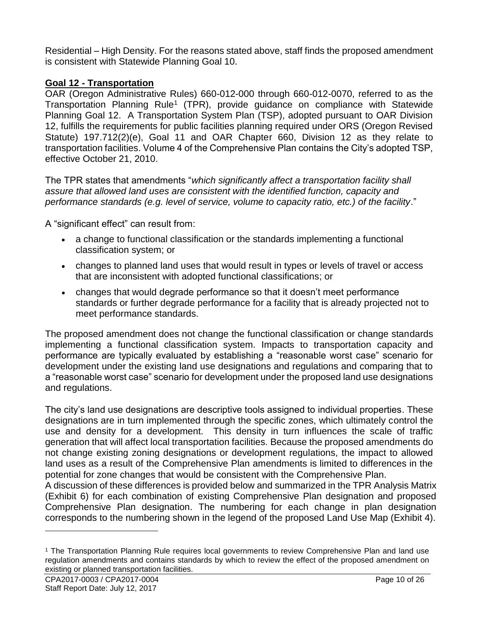Residential – High Density. For the reasons stated above, staff finds the proposed amendment is consistent with Statewide Planning Goal 10.

### **Goal 12 - Transportation**

OAR (Oregon Administrative Rules) 660-012-000 through 660-012-0070, referred to as the Transportation Planning Rule<sup>1</sup> (TPR), provide guidance on compliance with Statewide Planning Goal 12. A Transportation System Plan (TSP), adopted pursuant to OAR Division 12, fulfills the requirements for public facilities planning required under ORS (Oregon Revised Statute) 197.712(2)(e), Goal 11 and OAR Chapter 660, Division 12 as they relate to transportation facilities. Volume 4 of the Comprehensive Plan contains the City's adopted TSP, effective October 21, 2010.

The TPR states that amendments "*which significantly affect a transportation facility shall assure that allowed land uses are consistent with the identified function, capacity and performance standards (e.g. level of service, volume to capacity ratio, etc.) of the facility*."

A "significant effect" can result from:

- a change to functional classification or the standards implementing a functional classification system; or
- changes to planned land uses that would result in types or levels of travel or access that are inconsistent with adopted functional classifications; or
- changes that would degrade performance so that it doesn't meet performance standards or further degrade performance for a facility that is already projected not to meet performance standards.

The proposed amendment does not change the functional classification or change standards implementing a functional classification system. Impacts to transportation capacity and performance are typically evaluated by establishing a "reasonable worst case" scenario for development under the existing land use designations and regulations and comparing that to a "reasonable worst case" scenario for development under the proposed land use designations and regulations.

The city's land use designations are descriptive tools assigned to individual properties. These designations are in turn implemented through the specific zones, which ultimately control the use and density for a development. This density in turn influences the scale of traffic generation that will affect local transportation facilities. Because the proposed amendments do not change existing zoning designations or development regulations, the impact to allowed land uses as a result of the Comprehensive Plan amendments is limited to differences in the potential for zone changes that would be consistent with the Comprehensive Plan.

A discussion of these differences is provided below and summarized in the TPR Analysis Matrix (Exhibit 6) for each combination of existing Comprehensive Plan designation and proposed Comprehensive Plan designation. The numbering for each change in plan designation corresponds to the numbering shown in the legend of the proposed Land Use Map (Exhibit 4).

<sup>1</sup> The Transportation Planning Rule requires local governments to review Comprehensive Plan and land use regulation amendments and contains standards by which to review the effect of the proposed amendment on existing or planned transportation facilities.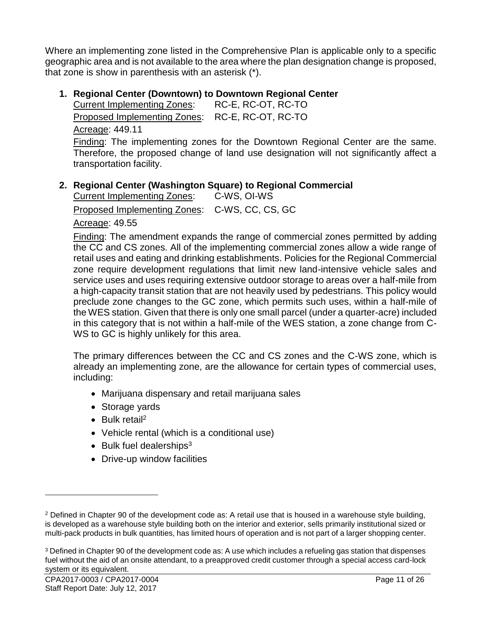Where an implementing zone listed in the Comprehensive Plan is applicable only to a specific geographic area and is not available to the area where the plan designation change is proposed, that zone is show in parenthesis with an asterisk (\*).

## **1. Regional Center (Downtown) to Downtown Regional Center**

Current Implementing Zones: RC-E, RC-OT, RC-TO Proposed Implementing Zones: RC-E, RC-OT, RC-TO

Acreage: 449.11

Finding: The implementing zones for the Downtown Regional Center are the same. Therefore, the proposed change of land use designation will not significantly affect a transportation facility.

## **2. Regional Center (Washington Square) to Regional Commercial**

Current Implementing Zones: C-WS, OI-WS Proposed Implementing Zones: C-WS, CC, CS, GC

Acreage: 49.55

Finding: The amendment expands the range of commercial zones permitted by adding the CC and CS zones. All of the implementing commercial zones allow a wide range of retail uses and eating and drinking establishments. Policies for the Regional Commercial zone require development regulations that limit new land-intensive vehicle sales and service uses and uses requiring extensive outdoor storage to areas over a half-mile from a high-capacity transit station that are not heavily used by pedestrians. This policy would preclude zone changes to the GC zone, which permits such uses, within a half-mile of the WES station. Given that there is only one small parcel (under a quarter-acre) included in this category that is not within a half-mile of the WES station, a zone change from C-WS to GC is highly unlikely for this area.

The primary differences between the CC and CS zones and the C-WS zone, which is already an implementing zone, are the allowance for certain types of commercial uses, including:

- Marijuana dispensary and retail marijuana sales
- Storage yards
- $\bullet$  Bulk retail<sup>2</sup>
- Vehicle rental (which is a conditional use)
- $\bullet$  Bulk fuel dealerships<sup>3</sup>
- Drive-up window facilities

l

<sup>&</sup>lt;sup>2</sup> Defined in Chapter 90 of the development code as: A retail use that is housed in a warehouse style building, is developed as a warehouse style building both on the interior and exterior, sells primarily institutional sized or multi-pack products in bulk quantities, has limited hours of operation and is not part of a larger shopping center.

<sup>&</sup>lt;sup>3</sup> Defined in Chapter 90 of the development code as: A use which includes a refueling gas station that dispenses fuel without the aid of an onsite attendant, to a preapproved credit customer through a special access card-lock system or its equivalent.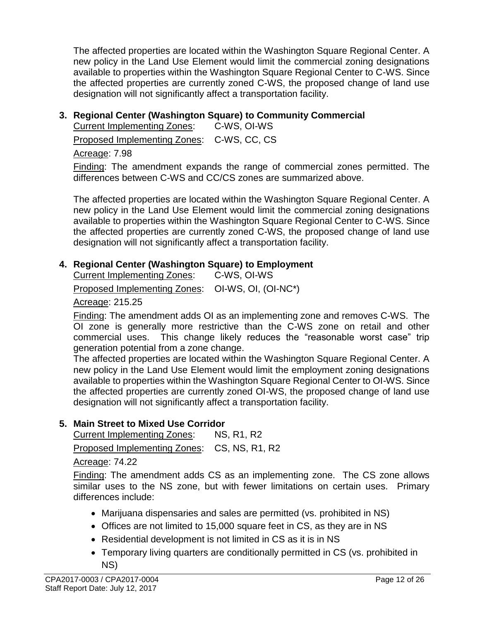The affected properties are located within the Washington Square Regional Center. A new policy in the Land Use Element would limit the commercial zoning designations available to properties within the Washington Square Regional Center to C-WS. Since the affected properties are currently zoned C-WS, the proposed change of land use designation will not significantly affect a transportation facility.

## **3. Regional Center (Washington Square) to Community Commercial**

Current Implementing Zones: C-WS, OI-WS

Proposed Implementing Zones: C-WS, CC, CS

Acreage: 7.98

Finding: The amendment expands the range of commercial zones permitted. The differences between C-WS and CC/CS zones are summarized above.

The affected properties are located within the Washington Square Regional Center. A new policy in the Land Use Element would limit the commercial zoning designations available to properties within the Washington Square Regional Center to C-WS. Since the affected properties are currently zoned C-WS, the proposed change of land use designation will not significantly affect a transportation facility.

### **4. Regional Center (Washington Square) to Employment**

Current Implementing Zones: C-WS, OI-WS Proposed Implementing Zones: OI-WS, OI, (OI-NC\*)

Acreage: 215.25

Finding: The amendment adds OI as an implementing zone and removes C-WS. The OI zone is generally more restrictive than the C-WS zone on retail and other commercial uses. This change likely reduces the "reasonable worst case" trip generation potential from a zone change.

The affected properties are located within the Washington Square Regional Center. A new policy in the Land Use Element would limit the employment zoning designations available to properties within the Washington Square Regional Center to OI-WS. Since the affected properties are currently zoned OI-WS, the proposed change of land use designation will not significantly affect a transportation facility.

### **5. Main Street to Mixed Use Corridor**

Current Implementing Zones: NS, R1, R2 Proposed Implementing Zones: CS, NS, R1, R2

Acreage: 74.22

Finding: The amendment adds CS as an implementing zone. The CS zone allows similar uses to the NS zone, but with fewer limitations on certain uses. Primary differences include:

- Marijuana dispensaries and sales are permitted (vs. prohibited in NS)
- Offices are not limited to 15,000 square feet in CS, as they are in NS
- Residential development is not limited in CS as it is in NS
- Temporary living quarters are conditionally permitted in CS (vs. prohibited in NS)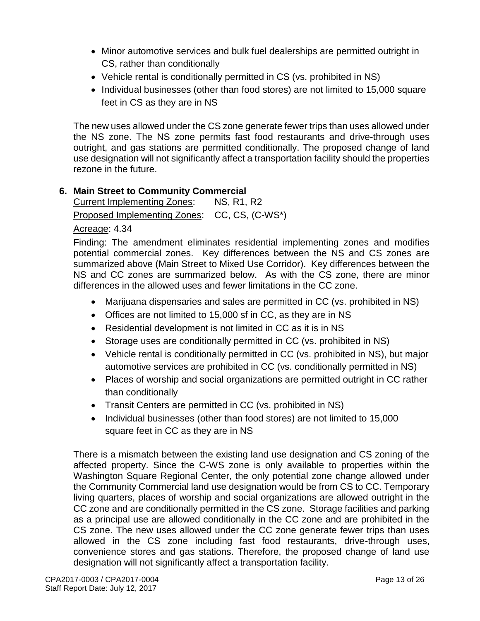- Minor automotive services and bulk fuel dealerships are permitted outright in CS, rather than conditionally
- Vehicle rental is conditionally permitted in CS (vs. prohibited in NS)
- Individual businesses (other than food stores) are not limited to 15,000 square feet in CS as they are in NS

The new uses allowed under the CS zone generate fewer trips than uses allowed under the NS zone. The NS zone permits fast food restaurants and drive-through uses outright, and gas stations are permitted conditionally. The proposed change of land use designation will not significantly affect a transportation facility should the properties rezone in the future.

## **6. Main Street to Community Commercial**

Current Implementing Zones: NS, R1, R2 Proposed Implementing Zones: CC, CS, (C-WS\*)

Acreage: 4.34

Finding: The amendment eliminates residential implementing zones and modifies potential commercial zones. Key differences between the NS and CS zones are summarized above (Main Street to Mixed Use Corridor). Key differences between the NS and CC zones are summarized below. As with the CS zone, there are minor differences in the allowed uses and fewer limitations in the CC zone.

- Marijuana dispensaries and sales are permitted in CC (vs. prohibited in NS)
- Offices are not limited to 15,000 sf in CC, as they are in NS
- Residential development is not limited in CC as it is in NS
- Storage uses are conditionally permitted in CC (vs. prohibited in NS)
- Vehicle rental is conditionally permitted in CC (vs. prohibited in NS), but major automotive services are prohibited in CC (vs. conditionally permitted in NS)
- Places of worship and social organizations are permitted outright in CC rather than conditionally
- Transit Centers are permitted in CC (vs. prohibited in NS)
- Individual businesses (other than food stores) are not limited to 15,000 square feet in CC as they are in NS

There is a mismatch between the existing land use designation and CS zoning of the affected property. Since the C-WS zone is only available to properties within the Washington Square Regional Center, the only potential zone change allowed under the Community Commercial land use designation would be from CS to CC. Temporary living quarters, places of worship and social organizations are allowed outright in the CC zone and are conditionally permitted in the CS zone. Storage facilities and parking as a principal use are allowed conditionally in the CC zone and are prohibited in the CS zone. The new uses allowed under the CC zone generate fewer trips than uses allowed in the CS zone including fast food restaurants, drive-through uses, convenience stores and gas stations. Therefore, the proposed change of land use designation will not significantly affect a transportation facility.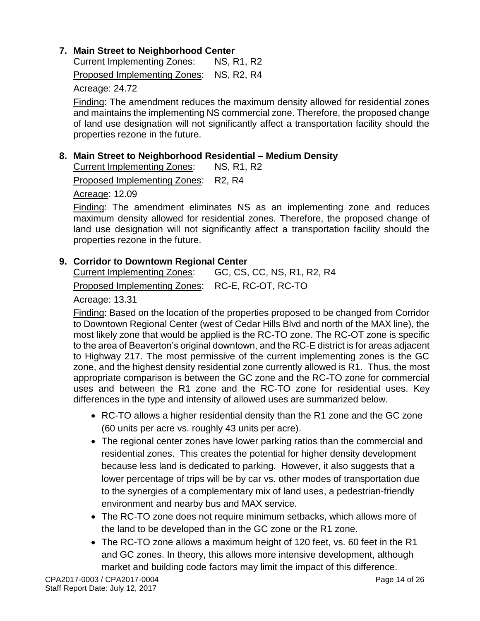## **7. Main Street to Neighborhood Center**

Current Implementing Zones: NS, R1, R2

Proposed Implementing Zones: NS, R2, R4

Acreage: 24.72

Finding: The amendment reduces the maximum density allowed for residential zones and maintains the implementing NS commercial zone. Therefore, the proposed change of land use designation will not significantly affect a transportation facility should the properties rezone in the future.

### **8. Main Street to Neighborhood Residential – Medium Density**

Current Implementing Zones: NS, R1, R2

Proposed Implementing Zones: R2, R4

Acreage: 12.09

Finding: The amendment eliminates NS as an implementing zone and reduces maximum density allowed for residential zones. Therefore, the proposed change of land use designation will not significantly affect a transportation facility should the properties rezone in the future.

### **9. Corridor to Downtown Regional Center**

Current Implementing Zones: GC, CS, CC, NS, R1, R2, R4 Proposed Implementing Zones: RC-E, RC-OT, RC-TO

Acreage: 13.31

Finding: Based on the location of the properties proposed to be changed from Corridor to Downtown Regional Center (west of Cedar Hills Blvd and north of the MAX line), the most likely zone that would be applied is the RC-TO zone. The RC-OT zone is specific to the area of Beaverton's original downtown, and the RC-E district is for areas adjacent to Highway 217. The most permissive of the current implementing zones is the GC zone, and the highest density residential zone currently allowed is R1. Thus, the most appropriate comparison is between the GC zone and the RC-TO zone for commercial uses and between the R1 zone and the RC-TO zone for residential uses. Key differences in the type and intensity of allowed uses are summarized below.

- RC-TO allows a higher residential density than the R1 zone and the GC zone (60 units per acre vs. roughly 43 units per acre).
- The regional center zones have lower parking ratios than the commercial and residential zones. This creates the potential for higher density development because less land is dedicated to parking. However, it also suggests that a lower percentage of trips will be by car vs. other modes of transportation due to the synergies of a complementary mix of land uses, a pedestrian-friendly environment and nearby bus and MAX service.
- The RC-TO zone does not require minimum setbacks, which allows more of the land to be developed than in the GC zone or the R1 zone.
- The RC-TO zone allows a maximum height of 120 feet, vs. 60 feet in the R1 and GC zones. In theory, this allows more intensive development, although market and building code factors may limit the impact of this difference.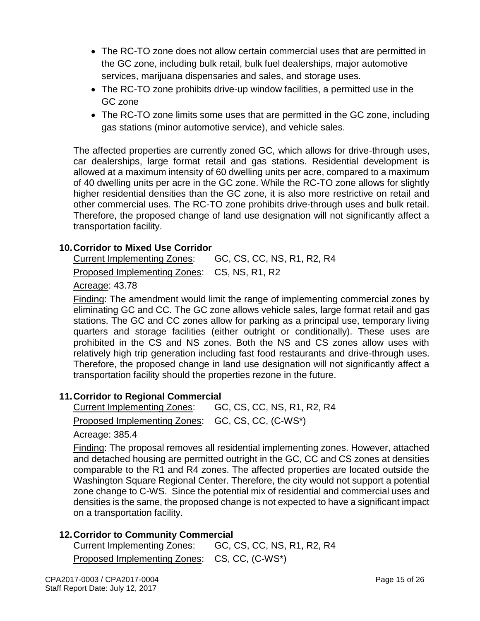- The RC-TO zone does not allow certain commercial uses that are permitted in the GC zone, including bulk retail, bulk fuel dealerships, major automotive services, marijuana dispensaries and sales, and storage uses.
- The RC-TO zone prohibits drive-up window facilities, a permitted use in the GC zone
- The RC-TO zone limits some uses that are permitted in the GC zone, including gas stations (minor automotive service), and vehicle sales.

The affected properties are currently zoned GC, which allows for drive-through uses, car dealerships, large format retail and gas stations. Residential development is allowed at a maximum intensity of 60 dwelling units per acre, compared to a maximum of 40 dwelling units per acre in the GC zone. While the RC-TO zone allows for slightly higher residential densities than the GC zone, it is also more restrictive on retail and other commercial uses. The RC-TO zone prohibits drive-through uses and bulk retail. Therefore, the proposed change of land use designation will not significantly affect a transportation facility.

### **10.Corridor to Mixed Use Corridor**

Current Implementing Zones: GC, CS, CC, NS, R1, R2, R4 Proposed Implementing Zones: CS, NS, R1, R2

Acreage: 43.78

Finding: The amendment would limit the range of implementing commercial zones by eliminating GC and CC. The GC zone allows vehicle sales, large format retail and gas stations. The GC and CC zones allow for parking as a principal use, temporary living quarters and storage facilities (either outright or conditionally). These uses are prohibited in the CS and NS zones. Both the NS and CS zones allow uses with relatively high trip generation including fast food restaurants and drive-through uses. Therefore, the proposed change in land use designation will not significantly affect a transportation facility should the properties rezone in the future.

## **11.Corridor to Regional Commercial**

Current Implementing Zones: GC, CS, CC, NS, R1, R2, R4 Proposed Implementing Zones: GC, CS, CC, (C-WS\*)

Acreage: 385.4

Finding: The proposal removes all residential implementing zones. However, attached and detached housing are permitted outright in the GC, CC and CS zones at densities comparable to the R1 and R4 zones. The affected properties are located outside the Washington Square Regional Center. Therefore, the city would not support a potential zone change to C-WS. Since the potential mix of residential and commercial uses and densities is the same, the proposed change is not expected to have a significant impact on a transportation facility.

### **12.Corridor to Community Commercial**

Current Implementing Zones: GC, CS, CC, NS, R1, R2, R4 Proposed Implementing Zones: CS, CC, (C-WS\*)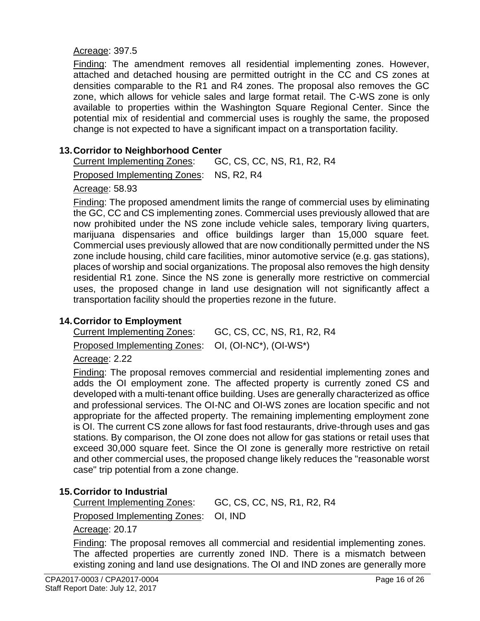#### Acreage: 397.5

Finding: The amendment removes all residential implementing zones. However, attached and detached housing are permitted outright in the CC and CS zones at densities comparable to the R1 and R4 zones. The proposal also removes the GC zone, which allows for vehicle sales and large format retail. The C-WS zone is only available to properties within the Washington Square Regional Center. Since the potential mix of residential and commercial uses is roughly the same, the proposed change is not expected to have a significant impact on a transportation facility.

### **13.Corridor to Neighborhood Center**

Current Implementing Zones: GC, CS, CC, NS, R1, R2, R4 Proposed Implementing Zones: NS, R2, R4

Acreage: 58.93

Finding: The proposed amendment limits the range of commercial uses by eliminating the GC, CC and CS implementing zones. Commercial uses previously allowed that are now prohibited under the NS zone include vehicle sales, temporary living quarters, marijuana dispensaries and office buildings larger than 15,000 square feet. Commercial uses previously allowed that are now conditionally permitted under the NS zone include housing, child care facilities, minor automotive service (e.g. gas stations), places of worship and social organizations. The proposal also removes the high density residential R1 zone. Since the NS zone is generally more restrictive on commercial uses, the proposed change in land use designation will not significantly affect a transportation facility should the properties rezone in the future.

#### **14.Corridor to Employment**

Current Implementing Zones: GC, CS, CC, NS, R1, R2, R4 Proposed Implementing Zones: OI, (OI-NC\*), (OI-WS\*)

Acreage: 2.22

Finding: The proposal removes commercial and residential implementing zones and adds the OI employment zone. The affected property is currently zoned CS and developed with a multi-tenant office building. Uses are generally characterized as office and professional services. The OI-NC and OI-WS zones are location specific and not appropriate for the affected property. The remaining implementing employment zone is OI. The current CS zone allows for fast food restaurants, drive-through uses and gas stations. By comparison, the OI zone does not allow for gas stations or retail uses that exceed 30,000 square feet. Since the OI zone is generally more restrictive on retail and other commercial uses, the proposed change likely reduces the "reasonable worst case" trip potential from a zone change.

#### **15.Corridor to Industrial**

Current Implementing Zones: GC, CS, CC, NS, R1, R2, R4 Proposed Implementing Zones: OI, IND

Acreage: 20.17

Finding: The proposal removes all commercial and residential implementing zones. The affected properties are currently zoned IND. There is a mismatch between existing zoning and land use designations. The OI and IND zones are generally more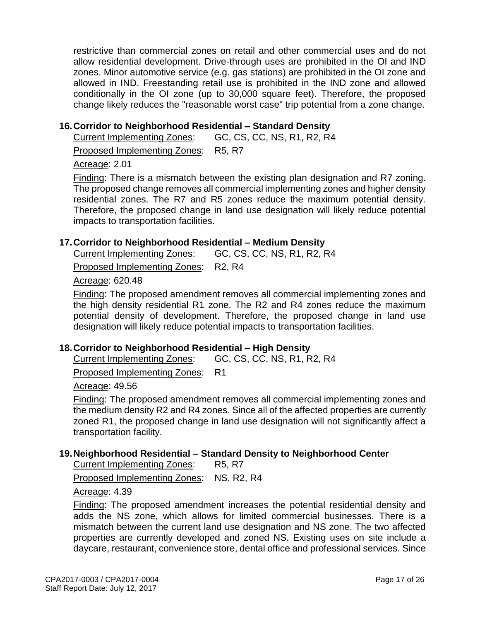restrictive than commercial zones on retail and other commercial uses and do not allow residential development. Drive-through uses are prohibited in the OI and IND zones. Minor automotive service (e.g. gas stations) are prohibited in the OI zone and allowed in IND. Freestanding retail use is prohibited in the IND zone and allowed conditionally in the OI zone (up to 30,000 square feet). Therefore, the proposed change likely reduces the "reasonable worst case" trip potential from a zone change.

### **16.Corridor to Neighborhood Residential – Standard Density**

Current Implementing Zones: GC, CS, CC, NS, R1, R2, R4

Proposed Implementing Zones: R5, R7

Acreage: 2.01

Finding: There is a mismatch between the existing plan designation and R7 zoning. The proposed change removes all commercial implementing zones and higher density residential zones. The R7 and R5 zones reduce the maximum potential density. Therefore, the proposed change in land use designation will likely reduce potential impacts to transportation facilities.

#### **17.Corridor to Neighborhood Residential – Medium Density**

Current Implementing Zones: GC, CS, CC, NS, R1, R2, R4

Proposed Implementing Zones: R2, R4

Acreage: 620.48

Finding: The proposed amendment removes all commercial implementing zones and the high density residential R1 zone. The R2 and R4 zones reduce the maximum potential density of development. Therefore, the proposed change in land use designation will likely reduce potential impacts to transportation facilities.

#### **18.Corridor to Neighborhood Residential – High Density**

Current Implementing Zones: GC, CS, CC, NS, R1, R2, R4

Proposed Implementing Zones: R1

Acreage: 49.56

Finding: The proposed amendment removes all commercial implementing zones and the medium density R2 and R4 zones. Since all of the affected properties are currently zoned R1, the proposed change in land use designation will not significantly affect a transportation facility.

#### **19.Neighborhood Residential – Standard Density to Neighborhood Center**

Current Implementing Zones: R5, R7

Proposed Implementing Zones: NS, R2, R4

Acreage: 4.39

Finding: The proposed amendment increases the potential residential density and adds the NS zone, which allows for limited commercial businesses. There is a mismatch between the current land use designation and NS zone. The two affected properties are currently developed and zoned NS. Existing uses on site include a daycare, restaurant, convenience store, dental office and professional services. Since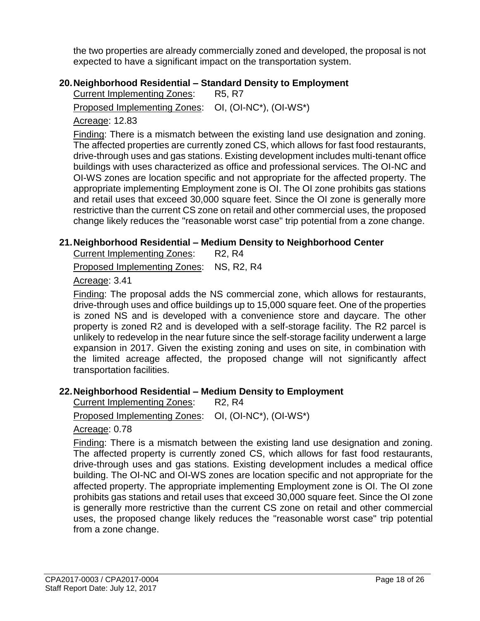the two properties are already commercially zoned and developed, the proposal is not expected to have a significant impact on the transportation system.

### **20.Neighborhood Residential – Standard Density to Employment**

Current Implementing Zones: R5, R7

Proposed Implementing Zones: OI, (OI-NC\*), (OI-WS\*)

Acreage: 12.83

Finding: There is a mismatch between the existing land use designation and zoning. The affected properties are currently zoned CS, which allows for fast food restaurants, drive-through uses and gas stations. Existing development includes multi-tenant office buildings with uses characterized as office and professional services. The OI-NC and OI-WS zones are location specific and not appropriate for the affected property. The appropriate implementing Employment zone is OI. The OI zone prohibits gas stations and retail uses that exceed 30,000 square feet. Since the OI zone is generally more restrictive than the current CS zone on retail and other commercial uses, the proposed change likely reduces the "reasonable worst case" trip potential from a zone change.

### **21.Neighborhood Residential – Medium Density to Neighborhood Center**

Current Implementing Zones: R2, R4

Proposed Implementing Zones: NS, R2, R4

Acreage: 3.41

Finding: The proposal adds the NS commercial zone, which allows for restaurants, drive-through uses and office buildings up to 15,000 square feet. One of the properties is zoned NS and is developed with a convenience store and daycare. The other property is zoned R2 and is developed with a self-storage facility. The R2 parcel is unlikely to redevelop in the near future since the self-storage facility underwent a large expansion in 2017. Given the existing zoning and uses on site, in combination with the limited acreage affected, the proposed change will not significantly affect transportation facilities.

### **22.Neighborhood Residential – Medium Density to Employment**

Current Implementing Zones: R2, R4

Proposed Implementing Zones: OI, (OI-NC\*), (OI-WS\*)

Acreage: 0.78

Finding: There is a mismatch between the existing land use designation and zoning. The affected property is currently zoned CS, which allows for fast food restaurants, drive-through uses and gas stations. Existing development includes a medical office building. The OI-NC and OI-WS zones are location specific and not appropriate for the affected property. The appropriate implementing Employment zone is OI. The OI zone prohibits gas stations and retail uses that exceed 30,000 square feet. Since the OI zone is generally more restrictive than the current CS zone on retail and other commercial uses, the proposed change likely reduces the "reasonable worst case" trip potential from a zone change.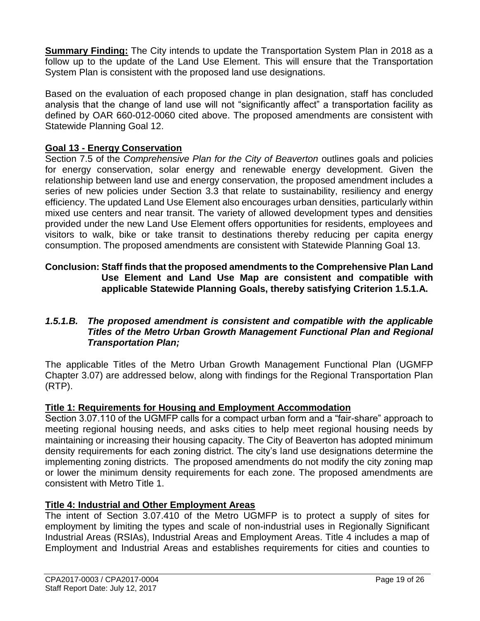**Summary Finding:** The City intends to update the Transportation System Plan in 2018 as a follow up to the update of the Land Use Element. This will ensure that the Transportation System Plan is consistent with the proposed land use designations.

Based on the evaluation of each proposed change in plan designation, staff has concluded analysis that the change of land use will not "significantly affect" a transportation facility as defined by OAR 660-012-0060 cited above. The proposed amendments are consistent with Statewide Planning Goal 12.

### **Goal 13 - Energy Conservation**

Section 7.5 of the *Comprehensive Plan for the City of Beaverton* outlines goals and policies for energy conservation, solar energy and renewable energy development. Given the relationship between land use and energy conservation, the proposed amendment includes a series of new policies under Section 3.3 that relate to sustainability, resiliency and energy efficiency. The updated Land Use Element also encourages urban densities, particularly within mixed use centers and near transit. The variety of allowed development types and densities provided under the new Land Use Element offers opportunities for residents, employees and visitors to walk, bike or take transit to destinations thereby reducing per capita energy consumption. The proposed amendments are consistent with Statewide Planning Goal 13.

### **Conclusion: Staff finds that the proposed amendments to the Comprehensive Plan Land Use Element and Land Use Map are consistent and compatible with applicable Statewide Planning Goals, thereby satisfying Criterion 1.5.1.A.**

#### *1.5.1.B. The proposed amendment is consistent and compatible with the applicable Titles of the Metro Urban Growth Management Functional Plan and Regional Transportation Plan;*

The applicable Titles of the Metro Urban Growth Management Functional Plan (UGMFP Chapter 3.07) are addressed below, along with findings for the Regional Transportation Plan (RTP).

### **Title 1: Requirements for Housing and Employment Accommodation**

Section 3.07.110 of the UGMFP calls for a compact urban form and a "fair-share" approach to meeting regional housing needs, and asks cities to help meet regional housing needs by maintaining or increasing their housing capacity. The City of Beaverton has adopted minimum density requirements for each zoning district. The city's land use designations determine the implementing zoning districts. The proposed amendments do not modify the city zoning map or lower the minimum density requirements for each zone. The proposed amendments are consistent with Metro Title 1.

### **Title 4: Industrial and Other Employment Areas**

The intent of Section 3.07.410 of the Metro UGMFP is to protect a supply of sites for employment by limiting the types and scale of non-industrial uses in Regionally Significant Industrial Areas (RSIAs), Industrial Areas and Employment Areas. Title 4 includes a map of Employment and Industrial Areas and establishes requirements for cities and counties to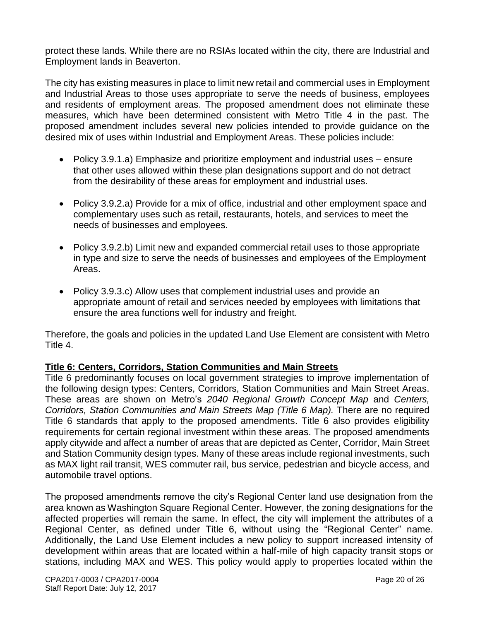protect these lands. While there are no RSIAs located within the city, there are Industrial and Employment lands in Beaverton.

The city has existing measures in place to limit new retail and commercial uses in Employment and Industrial Areas to those uses appropriate to serve the needs of business, employees and residents of employment areas. The proposed amendment does not eliminate these measures, which have been determined consistent with Metro Title 4 in the past. The proposed amendment includes several new policies intended to provide guidance on the desired mix of uses within Industrial and Employment Areas. These policies include:

- Policy 3.9.1.a) Emphasize and prioritize employment and industrial uses ensure that other uses allowed within these plan designations support and do not detract from the desirability of these areas for employment and industrial uses.
- Policy 3.9.2.a) Provide for a mix of office, industrial and other employment space and complementary uses such as retail, restaurants, hotels, and services to meet the needs of businesses and employees.
- Policy 3.9.2.b) Limit new and expanded commercial retail uses to those appropriate in type and size to serve the needs of businesses and employees of the Employment Areas.
- Policy 3.9.3.c) Allow uses that complement industrial uses and provide an appropriate amount of retail and services needed by employees with limitations that ensure the area functions well for industry and freight.

Therefore, the goals and policies in the updated Land Use Element are consistent with Metro Title 4.

## **Title 6: Centers, Corridors, Station Communities and Main Streets**

Title 6 predominantly focuses on local government strategies to improve implementation of the following design types: Centers, Corridors, Station Communities and Main Street Areas. These areas are shown on Metro's *2040 Regional Growth Concept Map* and *Centers, Corridors, Station Communities and Main Streets Map (Title 6 Map).* There are no required Title 6 standards that apply to the proposed amendments. Title 6 also provides eligibility requirements for certain regional investment within these areas. The proposed amendments apply citywide and affect a number of areas that are depicted as Center, Corridor, Main Street and Station Community design types. Many of these areas include regional investments, such as MAX light rail transit, WES commuter rail, bus service, pedestrian and bicycle access, and automobile travel options.

The proposed amendments remove the city's Regional Center land use designation from the area known as Washington Square Regional Center. However, the zoning designations for the affected properties will remain the same. In effect, the city will implement the attributes of a Regional Center, as defined under Title 6, without using the "Regional Center" name. Additionally, the Land Use Element includes a new policy to support increased intensity of development within areas that are located within a half-mile of high capacity transit stops or stations, including MAX and WES. This policy would apply to properties located within the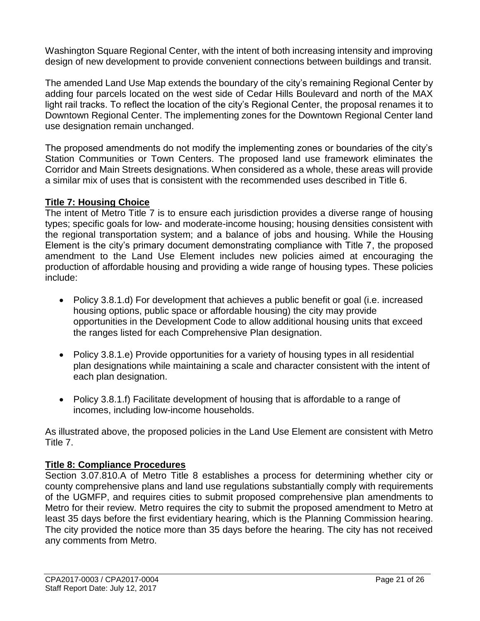Washington Square Regional Center, with the intent of both increasing intensity and improving design of new development to provide convenient connections between buildings and transit.

The amended Land Use Map extends the boundary of the city's remaining Regional Center by adding four parcels located on the west side of Cedar Hills Boulevard and north of the MAX light rail tracks. To reflect the location of the city's Regional Center, the proposal renames it to Downtown Regional Center. The implementing zones for the Downtown Regional Center land use designation remain unchanged.

The proposed amendments do not modify the implementing zones or boundaries of the city's Station Communities or Town Centers. The proposed land use framework eliminates the Corridor and Main Streets designations. When considered as a whole, these areas will provide a similar mix of uses that is consistent with the recommended uses described in Title 6.

### **Title 7: Housing Choice**

The intent of Metro Title 7 is to ensure each jurisdiction provides a diverse range of housing types; specific goals for low- and moderate-income housing; housing densities consistent with the regional transportation system; and a balance of jobs and housing. While the Housing Element is the city's primary document demonstrating compliance with Title 7, the proposed amendment to the Land Use Element includes new policies aimed at encouraging the production of affordable housing and providing a wide range of housing types. These policies include:

- Policy 3.8.1.d) For development that achieves a public benefit or goal (i.e. increased housing options, public space or affordable housing) the city may provide opportunities in the Development Code to allow additional housing units that exceed the ranges listed for each Comprehensive Plan designation.
- Policy 3.8.1.e) Provide opportunities for a variety of housing types in all residential plan designations while maintaining a scale and character consistent with the intent of each plan designation.
- Policy 3.8.1.f) Facilitate development of housing that is affordable to a range of incomes, including low-income households.

As illustrated above, the proposed policies in the Land Use Element are consistent with Metro Title 7.

### **Title 8: Compliance Procedures**

Section 3.07.810.A of Metro Title 8 establishes a process for determining whether city or county comprehensive plans and land use regulations substantially comply with requirements of the UGMFP, and requires cities to submit proposed comprehensive plan amendments to Metro for their review. Metro requires the city to submit the proposed amendment to Metro at least 35 days before the first evidentiary hearing, which is the Planning Commission hearing. The city provided the notice more than 35 days before the hearing. The city has not received any comments from Metro.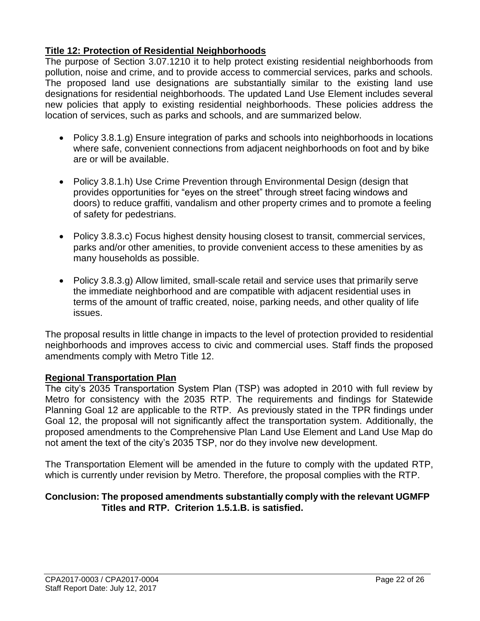### **Title 12: Protection of Residential Neighborhoods**

The purpose of Section 3.07.1210 it to help protect existing residential neighborhoods from pollution, noise and crime, and to provide access to commercial services, parks and schools. The proposed land use designations are substantially similar to the existing land use designations for residential neighborhoods. The updated Land Use Element includes several new policies that apply to existing residential neighborhoods. These policies address the location of services, such as parks and schools, and are summarized below.

- Policy 3.8.1.g) Ensure integration of parks and schools into neighborhoods in locations where safe, convenient connections from adjacent neighborhoods on foot and by bike are or will be available.
- Policy 3.8.1.h) Use Crime Prevention through Environmental Design (design that provides opportunities for "eyes on the street" through street facing windows and doors) to reduce graffiti, vandalism and other property crimes and to promote a feeling of safety for pedestrians.
- Policy 3.8.3.c) Focus highest density housing closest to transit, commercial services, parks and/or other amenities, to provide convenient access to these amenities by as many households as possible.
- Policy 3.8.3.g) Allow limited, small-scale retail and service uses that primarily serve the immediate neighborhood and are compatible with adjacent residential uses in terms of the amount of traffic created, noise, parking needs, and other quality of life issues.

The proposal results in little change in impacts to the level of protection provided to residential neighborhoods and improves access to civic and commercial uses. Staff finds the proposed amendments comply with Metro Title 12.

### **Regional Transportation Plan**

The city's 2035 Transportation System Plan (TSP) was adopted in 2010 with full review by Metro for consistency with the 2035 RTP. The requirements and findings for Statewide Planning Goal 12 are applicable to the RTP. As previously stated in the TPR findings under Goal 12, the proposal will not significantly affect the transportation system. Additionally, the proposed amendments to the Comprehensive Plan Land Use Element and Land Use Map do not ament the text of the city's 2035 TSP, nor do they involve new development.

The Transportation Element will be amended in the future to comply with the updated RTP, which is currently under revision by Metro. Therefore, the proposal complies with the RTP.

## **Conclusion: The proposed amendments substantially comply with the relevant UGMFP Titles and RTP. Criterion 1.5.1.B. is satisfied.**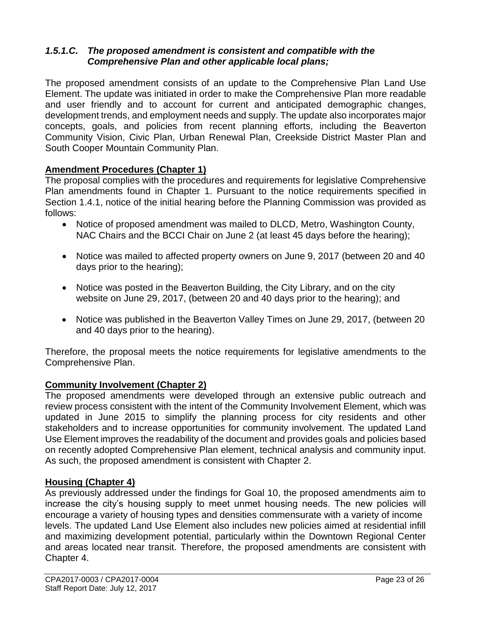#### *1.5.1.C. The proposed amendment is consistent and compatible with the Comprehensive Plan and other applicable local plans;*

The proposed amendment consists of an update to the Comprehensive Plan Land Use Element. The update was initiated in order to make the Comprehensive Plan more readable and user friendly and to account for current and anticipated demographic changes, development trends, and employment needs and supply. The update also incorporates major concepts, goals, and policies from recent planning efforts, including the Beaverton Community Vision, Civic Plan, Urban Renewal Plan, Creekside District Master Plan and South Cooper Mountain Community Plan.

### **Amendment Procedures (Chapter 1)**

The proposal complies with the procedures and requirements for legislative Comprehensive Plan amendments found in Chapter 1. Pursuant to the notice requirements specified in Section 1.4.1, notice of the initial hearing before the Planning Commission was provided as follows:

- Notice of proposed amendment was mailed to DLCD, Metro, Washington County, NAC Chairs and the BCCI Chair on June 2 (at least 45 days before the hearing);
- Notice was mailed to affected property owners on June 9, 2017 (between 20 and 40 days prior to the hearing);
- Notice was posted in the Beaverton Building, the City Library, and on the city website on June 29, 2017, (between 20 and 40 days prior to the hearing); and
- Notice was published in the Beaverton Valley Times on June 29, 2017, (between 20 and 40 days prior to the hearing).

Therefore, the proposal meets the notice requirements for legislative amendments to the Comprehensive Plan.

### **Community Involvement (Chapter 2)**

The proposed amendments were developed through an extensive public outreach and review process consistent with the intent of the Community Involvement Element, which was updated in June 2015 to simplify the planning process for city residents and other stakeholders and to increase opportunities for community involvement. The updated Land Use Element improves the readability of the document and provides goals and policies based on recently adopted Comprehensive Plan element, technical analysis and community input. As such, the proposed amendment is consistent with Chapter 2.

#### **Housing (Chapter 4)**

As previously addressed under the findings for Goal 10, the proposed amendments aim to increase the city's housing supply to meet unmet housing needs. The new policies will encourage a variety of housing types and densities commensurate with a variety of income levels. The updated Land Use Element also includes new policies aimed at residential infill and maximizing development potential, particularly within the Downtown Regional Center and areas located near transit. Therefore, the proposed amendments are consistent with Chapter 4.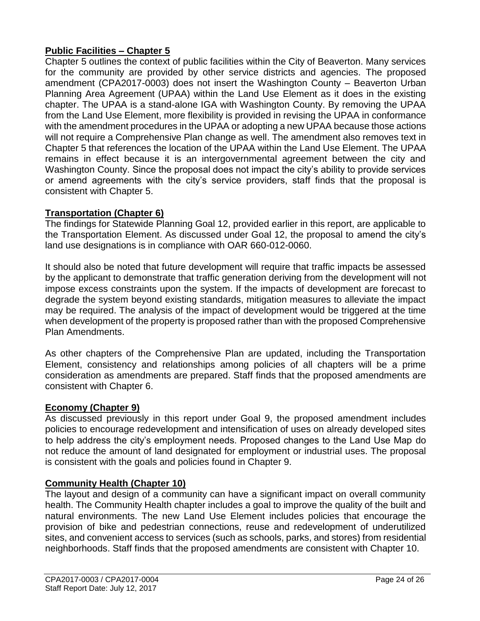## **Public Facilities – Chapter 5**

Chapter 5 outlines the context of public facilities within the City of Beaverton. Many services for the community are provided by other service districts and agencies. The proposed amendment (CPA2017-0003) does not insert the Washington County – Beaverton Urban Planning Area Agreement (UPAA) within the Land Use Element as it does in the existing chapter. The UPAA is a stand-alone IGA with Washington County. By removing the UPAA from the Land Use Element, more flexibility is provided in revising the UPAA in conformance with the amendment procedures in the UPAA or adopting a new UPAA because those actions will not require a Comprehensive Plan change as well. The amendment also removes text in Chapter 5 that references the location of the UPAA within the Land Use Element. The UPAA remains in effect because it is an intergovernmental agreement between the city and Washington County. Since the proposal does not impact the city's ability to provide services or amend agreements with the city's service providers, staff finds that the proposal is consistent with Chapter 5.

### **Transportation (Chapter 6)**

The findings for Statewide Planning Goal 12, provided earlier in this report, are applicable to the Transportation Element. As discussed under Goal 12, the proposal to amend the city's land use designations is in compliance with OAR 660-012-0060.

It should also be noted that future development will require that traffic impacts be assessed by the applicant to demonstrate that traffic generation deriving from the development will not impose excess constraints upon the system. If the impacts of development are forecast to degrade the system beyond existing standards, mitigation measures to alleviate the impact may be required. The analysis of the impact of development would be triggered at the time when development of the property is proposed rather than with the proposed Comprehensive Plan Amendments.

As other chapters of the Comprehensive Plan are updated, including the Transportation Element, consistency and relationships among policies of all chapters will be a prime consideration as amendments are prepared. Staff finds that the proposed amendments are consistent with Chapter 6.

### **Economy (Chapter 9)**

As discussed previously in this report under Goal 9, the proposed amendment includes policies to encourage redevelopment and intensification of uses on already developed sites to help address the city's employment needs. Proposed changes to the Land Use Map do not reduce the amount of land designated for employment or industrial uses. The proposal is consistent with the goals and policies found in Chapter 9.

### **Community Health (Chapter 10)**

The layout and design of a community can have a significant impact on overall community health. The Community Health chapter includes a goal to improve the quality of the built and natural environments. The new Land Use Element includes policies that encourage the provision of bike and pedestrian connections, reuse and redevelopment of underutilized sites, and convenient access to services (such as schools, parks, and stores) from residential neighborhoods. Staff finds that the proposed amendments are consistent with Chapter 10.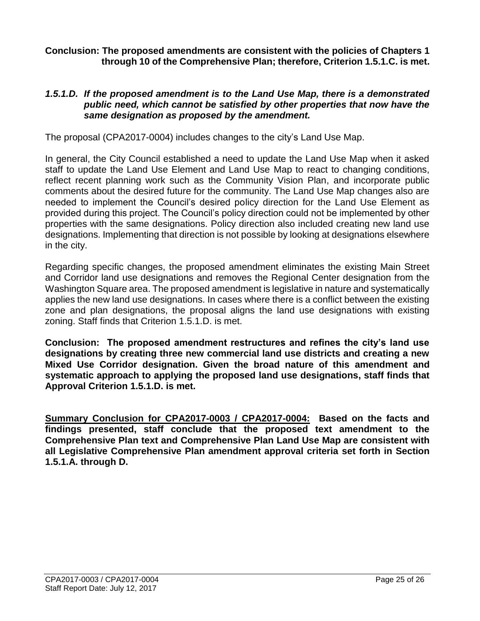#### **Conclusion: The proposed amendments are consistent with the policies of Chapters 1 through 10 of the Comprehensive Plan; therefore, Criterion 1.5.1.C. is met.**

#### *1.5.1.D. If the proposed amendment is to the Land Use Map, there is a demonstrated public need, which cannot be satisfied by other properties that now have the same designation as proposed by the amendment.*

The proposal (CPA2017-0004) includes changes to the city's Land Use Map.

In general, the City Council established a need to update the Land Use Map when it asked staff to update the Land Use Element and Land Use Map to react to changing conditions, reflect recent planning work such as the Community Vision Plan, and incorporate public comments about the desired future for the community. The Land Use Map changes also are needed to implement the Council's desired policy direction for the Land Use Element as provided during this project. The Council's policy direction could not be implemented by other properties with the same designations. Policy direction also included creating new land use designations. Implementing that direction is not possible by looking at designations elsewhere in the city.

Regarding specific changes, the proposed amendment eliminates the existing Main Street and Corridor land use designations and removes the Regional Center designation from the Washington Square area. The proposed amendment is legislative in nature and systematically applies the new land use designations. In cases where there is a conflict between the existing zone and plan designations, the proposal aligns the land use designations with existing zoning. Staff finds that Criterion 1.5.1.D. is met.

**Conclusion: The proposed amendment restructures and refines the city's land use designations by creating three new commercial land use districts and creating a new Mixed Use Corridor designation. Given the broad nature of this amendment and systematic approach to applying the proposed land use designations, staff finds that Approval Criterion 1.5.1.D. is met.**

**Summary Conclusion for CPA2017-0003 / CPA2017-0004: Based on the facts and findings presented, staff conclude that the proposed text amendment to the Comprehensive Plan text and Comprehensive Plan Land Use Map are consistent with all Legislative Comprehensive Plan amendment approval criteria set forth in Section 1.5.1.A. through D.**